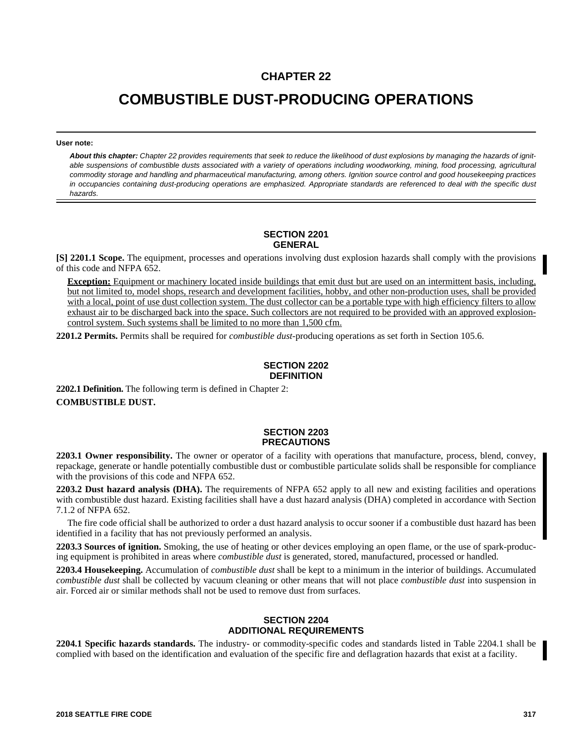## **CHAPTER 22**

# **COMBUSTIBLE DUST-PRODUCING OPERATIONS**

**User note:**

*About this chapter: Chapter 22 provides requirements that seek to reduce the likelihood of dust explosions by managing the hazards of ignitable suspensions of combustible dusts associated with a variety of operations including woodworking, mining, food processing, agricultural commodity storage and handling and pharmaceutical manufacturing, among others. Ignition source control and good housekeeping practices in occupancies containing dust-producing operations are emphasized. Appropriate standards are referenced to deal with the specific dust hazards.*

#### **SECTION 2201 GENERAL**

**[S] 2201.1 Scope.** The equipment, processes and operations involving dust explosion hazards shall comply with the provisions of this code and NFPA 652.

**Exception:** Equipment or machinery located inside buildings that emit dust but are used on an intermittent basis, including, but not limited to, model shops, research and development facilities, hobby, and other non-production uses, shall be provided with a local, point of use dust collection system. The dust collector can be a portable type with high efficiency filters to allow exhaust air to be discharged back into the space. Such collectors are not required to be provided with an approved explosioncontrol system. Such systems shall be limited to no more than 1,500 cfm.

**2201.2 Permits.** Permits shall be required for *combustible dust*-producing operations as set forth in Section 105.6.

### **SECTION 2202 DEFINITION**

**2202.1 Definition.** The following term is defined in Chapter 2: **COMBUSTIBLE DUST.**

#### **SECTION 2203 PRECAUTIONS**

**2203.1 Owner responsibility.** The owner or operator of a facility with operations that manufacture, process, blend, convey, repackage, generate or handle potentially combustible dust or combustible particulate solids shall be responsible for compliance with the provisions of this code and NFPA 652.

**2203.2 Dust hazard analysis (DHA).** The requirements of NFPA 652 apply to all new and existing facilities and operations with combustible dust hazard. Existing facilities shall have a dust hazard analysis (DHA) completed in accordance with Section 7.1.2 of NFPA 652.

The fire code official shall be authorized to order a dust hazard analysis to occur sooner if a combustible dust hazard has been identified in a facility that has not previously performed an analysis.

**2203.3 Sources of ignition.** Smoking, the use of heating or other devices employing an open flame, or the use of spark-producing equipment is prohibited in areas where *combustible dust* is generated, stored, manufactured, processed or handled.

**2203.4 Housekeeping.** Accumulation of *combustible dust* shall be kept to a minimum in the interior of buildings. Accumulated *combustible dust* shall be collected by vacuum cleaning or other means that will not place *combustible dust* into suspension in air. Forced air or similar methods shall not be used to remove dust from surfaces.

#### **SECTION 2204 ADDITIONAL REQUIREMENTS**

**2204.1 Specific hazards standards.** The industry- or commodity-specific codes and standards listed in Table 2204.1 shall be complied with based on the identification and evaluation of the specific fire and deflagration hazards that exist at a facility.